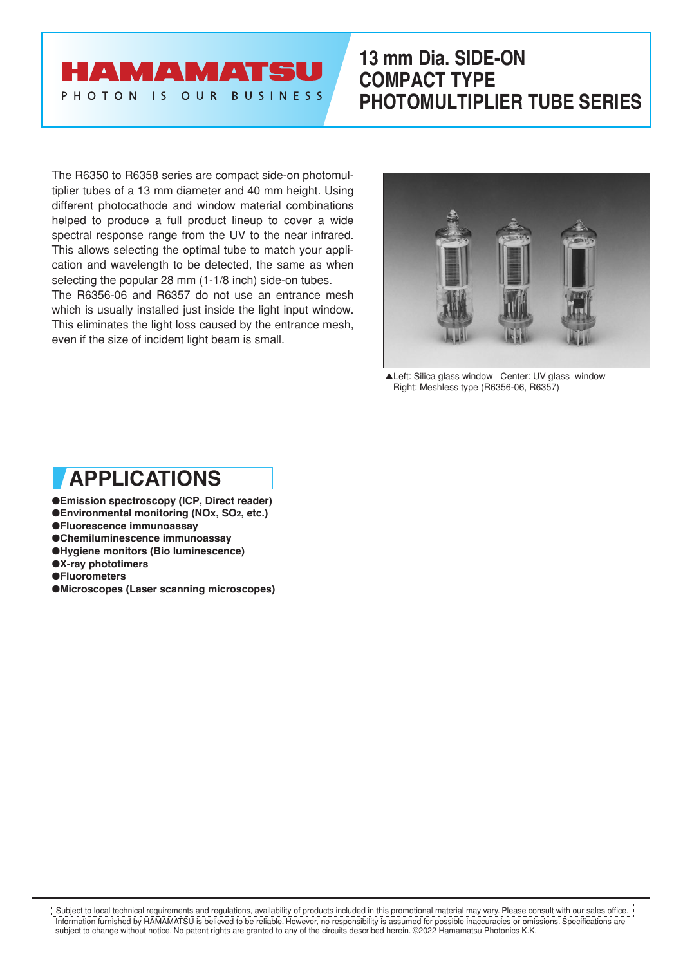## **AMAMATSU** PHOTON IS OUR BUSINESS

## **13 mm Dia. SIDE-ON COMPACT TYPE PHOTOMULTIPLIER TUBE SERIES**

The R6350 to R6358 series are compact side-on photomultiplier tubes of a 13 mm diameter and 40 mm height. Using different photocathode and window material combinations helped to produce a full product lineup to cover a wide spectral response range from the UV to the near infrared. This allows selecting the optimal tube to match your application and wavelength to be detected, the same as when selecting the popular 28 mm (1-1/8 inch) side-on tubes. The R6356-06 and R6357 do not use an entrance mesh which is usually installed just inside the light input window. This eliminates the light loss caused by the entrance mesh, even if the size of incident light beam is small.



▲Left: Silica glass window Center: UV glass window Right: Meshless type (R6356-06, R6357)

# **APPLICATIONS**

- ●**Emission spectroscopy (ICP, Direct reader)**
- ●**Environmental monitoring (NOx, SO2, etc.)**
- ●**Fluorescence immunoassay**
- ●**Chemiluminescence immunoassay**
- ●**Hygiene monitors (Bio luminescence)**
- ●**X-ray phototimers**
- ●**Fluorometers**
- ●**Microscopes (Laser scanning microscopes)**

Information furnished by HAMAMATSU is believed to be reliable. However, no responsibility is assumed for possible inaccuracies or omissions. Specifications are subject to change without notice. No patent rights are granted to any of the circuits described herein. ©2022 Hamamatsu Photonics K.K. Subject to local technical requirements and regulations, availability of products included in this promotional material may vary. Please consult with our sales office.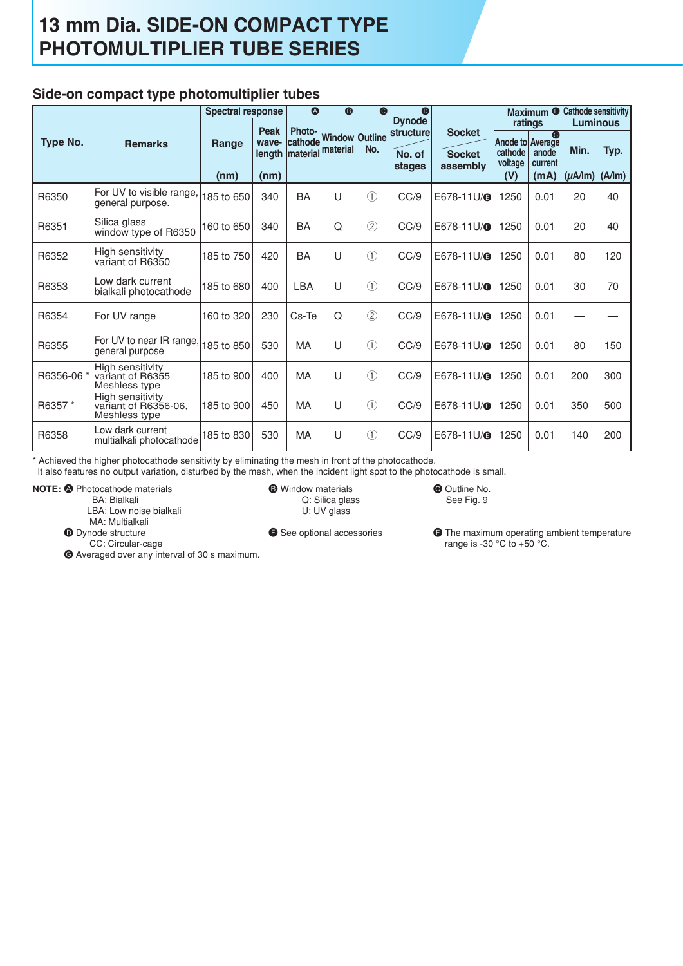### **Side-on compact type photomultiplier tubes**

|          |                                                           | <b>Spectral response</b> |                         | $\bf \Phi$<br>$\bullet$ |                                             | $\bullet$                 | $\bullet$                  |                           |                                               |                                       | Maximum <sup>O</sup> Cathode sensitivity |               |
|----------|-----------------------------------------------------------|--------------------------|-------------------------|-------------------------|---------------------------------------------|---------------------------|----------------------------|---------------------------|-----------------------------------------------|---------------------------------------|------------------------------------------|---------------|
|          |                                                           |                          | Peak                    | Photo-                  |                                             |                           | <b>Dynode</b><br>structure | <b>Socket</b>             | ratings                                       |                                       | <b>Luminous</b>                          |               |
| Type No. | <b>Remarks</b>                                            | Range<br>(nm)            | wave-<br>length<br>(nm) |                         | cathode Window Outline<br>material material | No.                       | No. of<br>stages           | <b>Socket</b><br>assembly | Anode to Average<br>cathode<br>voltage<br>(V) | $\bullet$<br>anode<br>current<br>(mA) | Min.<br>$(\mu A/m)$                      | Typ.<br>(A/m) |
| R6350    | For UV to visible range,<br>general purpose.              | 185 to 650               | 340                     | BA                      | U                                           | $\circled{1}$             | CC/9                       | E678-11U/@                | 1250                                          | 0.01                                  | 20                                       | 40            |
| R6351    | Silica glass<br>window type of R6350                      | 160 to 650               | 340                     | BA                      | Q                                           | $\circled{2}$             | CC/9                       | E678-11U/ <sup>®</sup>    | 1250                                          | 0.01                                  | 20                                       | 40            |
| R6352    | High sensitivity<br>variant of R6350                      | 185 to 750               | 420                     | BA                      | U                                           | $\circled{1}$             | CC/9                       | E678-11U/ <sup>®</sup>    | 1250                                          | 0.01                                  | 80                                       | 120           |
| R6353    | Low dark current<br>bialkali photocathode                 | 185 to 680               | 400                     | <b>LBA</b>              | U                                           | $\odot$                   | CC/9                       | E678-11U/@                | 1250                                          | 0.01                                  | 30                                       | 70            |
| R6354    | For UV range                                              | 160 to 320               | 230                     | Cs-Te                   | Q                                           | (2)                       | CC/9                       | E678-11U/@                | 1250                                          | 0.01                                  |                                          |               |
| R6355    | For UV to near IR range, $ 185$ to 850<br>general purpose |                          | 530                     | <b>MA</b>               | U                                           | $\textcircled{\small{1}}$ | CC/9                       | E678-11U/@                | 1250                                          | 0.01                                  | 80                                       | 150           |
| R6356-06 | High sensitivity<br>variant of R6355<br>Meshless type     | 185 to 900               | 400                     | <b>MA</b>               | U                                           | $\circled{1}$             | CC/9                       | E678-11U/ <sup>®</sup>    | 1250                                          | 0.01                                  | 200                                      | 300           |
| R6357 *  | High sensitivity<br>variant of R6356-06.<br>Meshless type | 185 to 900               | 450                     | MA                      | U                                           | $\circled{1}$             | CC/9                       | E678-11U/@                | 1250                                          | 0.01                                  | 350                                      | 500           |
| R6358    | Low dark current<br>multialkali photocathode              | 185 to 830               | 530                     | MA                      | U                                           | $\circled{1}$             | CC/9                       | E678-11U/@                | 1250                                          | 0.01                                  | 140                                      | 200           |

\* Achieved the higher photocathode sensitivity by eliminating the mesh in front of the photocathode.

It also features no output variation, disturbed by the mesh, when the incident light spot to the photocathode is small.

**NOTE:**  $\bigcirc$  Photocathode materials

BA: Bialkali

LBA: Low noise bialkali

MA: Multialkali

**O** Dynode structure CC: Circular-cage

G Averaged over any interval of 30 s maximum.

 U: UV glass E See optional accessories

**B** Window materials Q: Silica glass C Outline No. See Fig. 9

**O** The maximum operating ambient temperature range is -30 $\degree$ C to +50 $\degree$ C.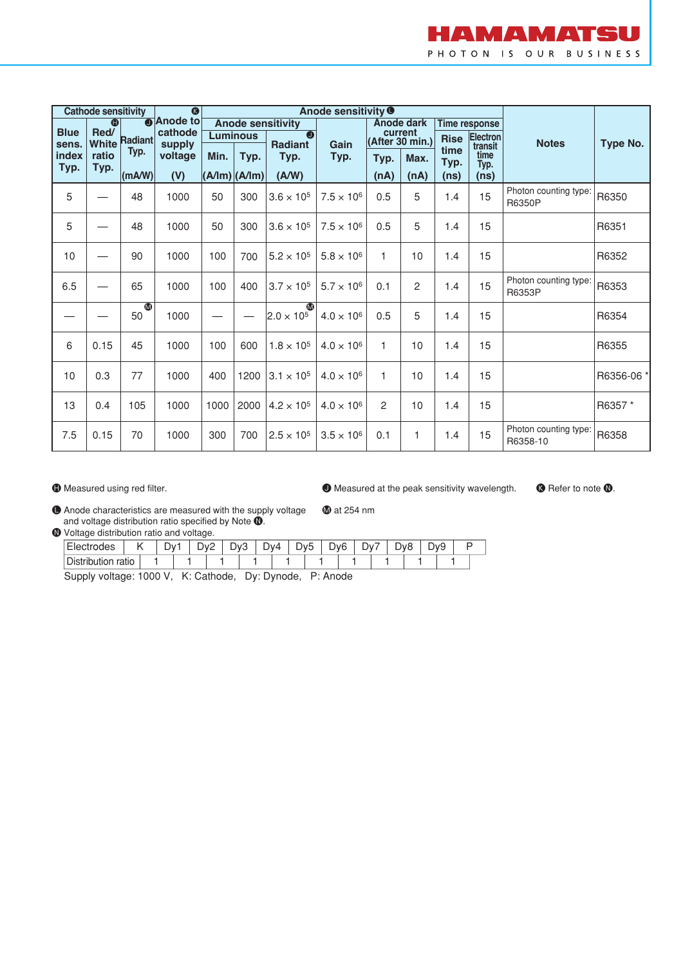

| $\bullet$<br><b>Cathode sensitivity</b> |                    |                 |                   |                          | Anode sensitivity <sup>O</sup> |                                  |                     |                            |                   |                   |                      |                                   |            |
|-----------------------------------------|--------------------|-----------------|-------------------|--------------------------|--------------------------------|----------------------------------|---------------------|----------------------------|-------------------|-------------------|----------------------|-----------------------------------|------------|
| <b>Blue</b>                             | $\bigcirc$<br>Red/ |                 | <b>O</b> Anode to | <b>Anode sensitivity</b> |                                |                                  |                     |                            | <b>Anode dark</b> |                   | <b>Time response</b> |                                   |            |
| sens.                                   | <b>White</b>       | Radiant         | cathode<br>supply | <b>Luminous</b>          |                                | $\bullet$<br><b>Radiant</b>      | Gain                | current<br>(After 30 min.) |                   | <b>Rise</b>       | Electron<br>transit  | <b>Notes</b>                      | Type No.   |
| index<br>Typ.                           | ratio<br>Typ.      | Typ.            | voltage           | Min.                     | Typ.                           | Typ.                             | Typ.                | Typ.                       | Max.              | time<br>Typ.      | time<br>Typ.         |                                   |            |
|                                         |                    | (mA/W)          | (V)               |                          | $(A/Im)$ $(A/Im)$              | (A/W)                            |                     | (nA)                       | (nA)              | (n <sub>s</sub> ) | (ns)                 |                                   |            |
| 5                                       |                    | 48              | 1000              | 50                       | 300                            | $3.6 \times 10^{5}$              | $7.5 \times 10^{6}$ | 0.5                        | 5                 | 1.4               | 15                   | Photon counting type:<br>R6350P   | R6350      |
| 5                                       |                    | 48              | 1000              | 50                       | 300                            | $3.6 \times 10^{5}$              | $7.5 \times 10^{6}$ | 0.5                        | 5                 | 1.4               | 15                   |                                   | R6351      |
| 10                                      |                    | 90              | 1000              | 100                      | 700                            | $5.2 \times 10^{5}$              | $5.8 \times 10^{6}$ | $\mathbf{1}$               | 10                | 1.4               | 15                   |                                   | R6352      |
| 6.5                                     |                    | 65              | 1000              | 100                      | 400                            | $3.7 \times 10^{5}$              | $5.7 \times 10^{6}$ | 0.1                        | $\overline{c}$    | 1.4               | 15                   | Photon counting type<br>R6353P    | R6353      |
|                                         |                    | $\bullet$<br>50 | 1000              |                          |                                | $\bullet$<br>$2.0 \times 10^{5}$ | $4.0 \times 10^{6}$ | 0.5                        | 5                 | 1.4               | 15                   |                                   | R6354      |
| 6                                       | 0.15               | 45              | 1000              | 100                      | 600                            | $1.8 \times 10^{5}$              | $4.0 \times 10^6$   | $\mathbf{1}$               | 10                | 1.4               | 15                   |                                   | R6355      |
| 10                                      | 0.3                | 77              | 1000              | 400                      | 1200                           | $3.1 \times 10^{5}$              | $4.0 \times 10^6$   | 1                          | 10                | 1.4               | 15                   |                                   | R6356-06 * |
| 13                                      | 0.4                | 105             | 1000              | 1000                     | 2000                           | $4.2 \times 10^{5}$              | $4.0 \times 10^{6}$ | $\overline{c}$             | 10                | 1.4               | 15                   |                                   | R6357*     |
| 7.5                                     | 0.15               | 70              | 1000              | 300                      | 700                            | $2.5 \times 10^{5}$              | $3.5 \times 10^{6}$ | 0.1                        | 1                 | 1.4               | 15                   | Photon counting type:<br>R6358-10 | R6358      |

 $\bigoplus$  Measured using red filter.

 $\bullet$  Measured at the peak sensitivity wavelength.

**B** Refer to note **0**.

L Anode characteristics are measured with the supply voltage and voltage distribution ratio specified by Note  $\mathbf{0}$ . **1** at 254 nm

 $\bullet$  Voltage distribution ratio and voltage.

| -<br>:lectrodes<br>$-1$ | $\cdot$      | $\overline{\phantom{0}}$<br>◡ | ∿ר<br>້ | ∽<br>◡<br>- | -<br>)V.<br>ີ | ∆∨ר | ⋍ | -<br>w5<br>' su | Dv <sub>6</sub> | ּ ער<br>◡ | - | λΛ8 | ∽ | wq<br>− |  |
|-------------------------|--------------|-------------------------------|---------|-------------|---------------|-----|---|-----------------|-----------------|-----------|---|-----|---|---------|--|
| Dis<br>.<br>tribution   | . .<br>ratic |                               |         |             |               |     |   |                 |                 |           |   |     |   |         |  |

Supply voltage: 1000 V, K: Cathode, Dy: Dynode, P: Anode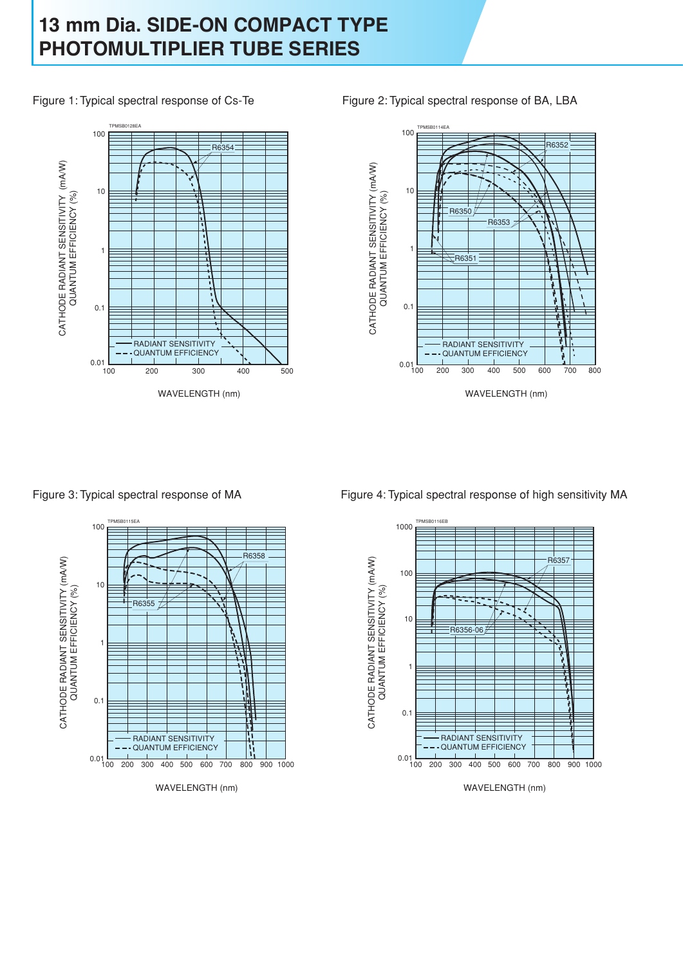Figure 1: Typical spectral response of Cs-Te



Figure 2: Typical spectral response of BA, LBA



Figure 3: Typical spectral response of MA



Figure 4: Typical spectral response of high sensitivity MA

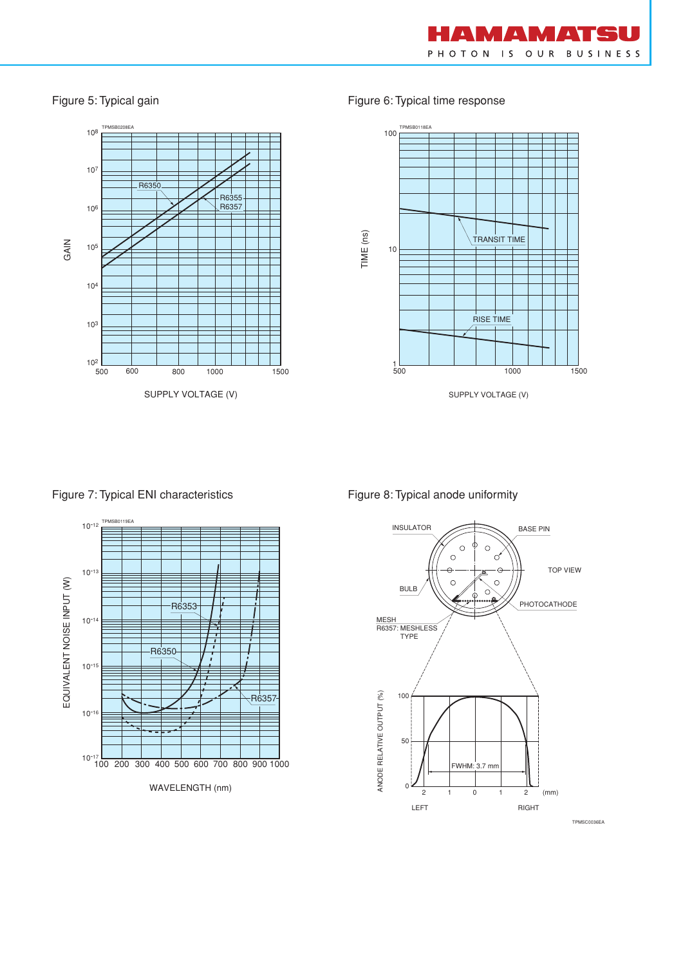

### Figure 5: Typical gain



Figure 6: Typical time response



SUPPLY VOLTAGE (V)

Figure 7: Typical ENI characteristics



### Figure 8: Typical anode uniformity

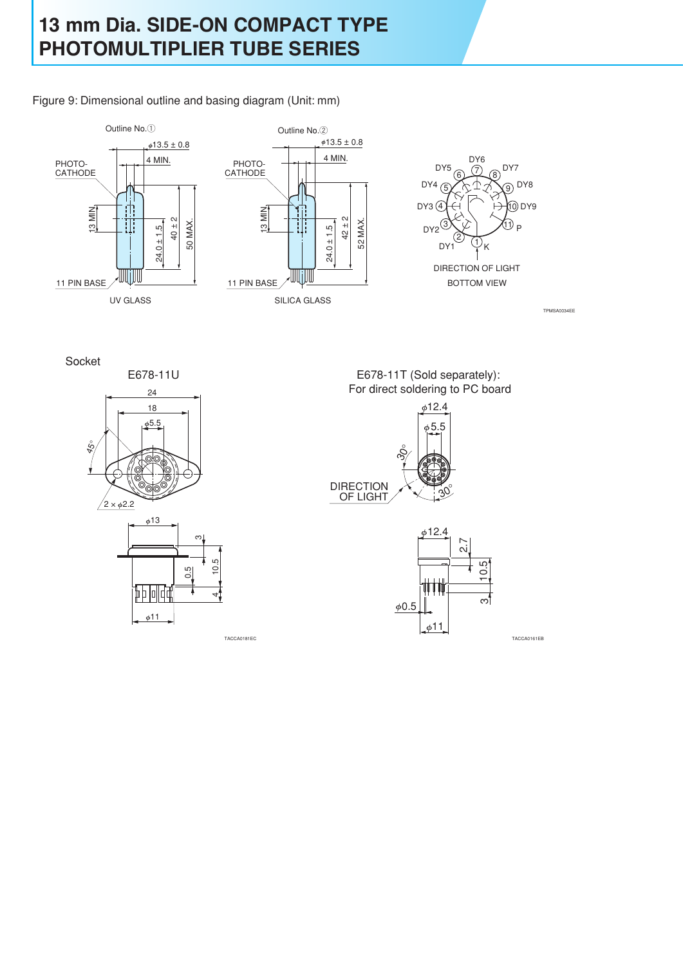Figure 9: Dimensional outline and basing diagram (Unit: mm)



Socket



E678-11T (Sold separately): For direct soldering to PC board



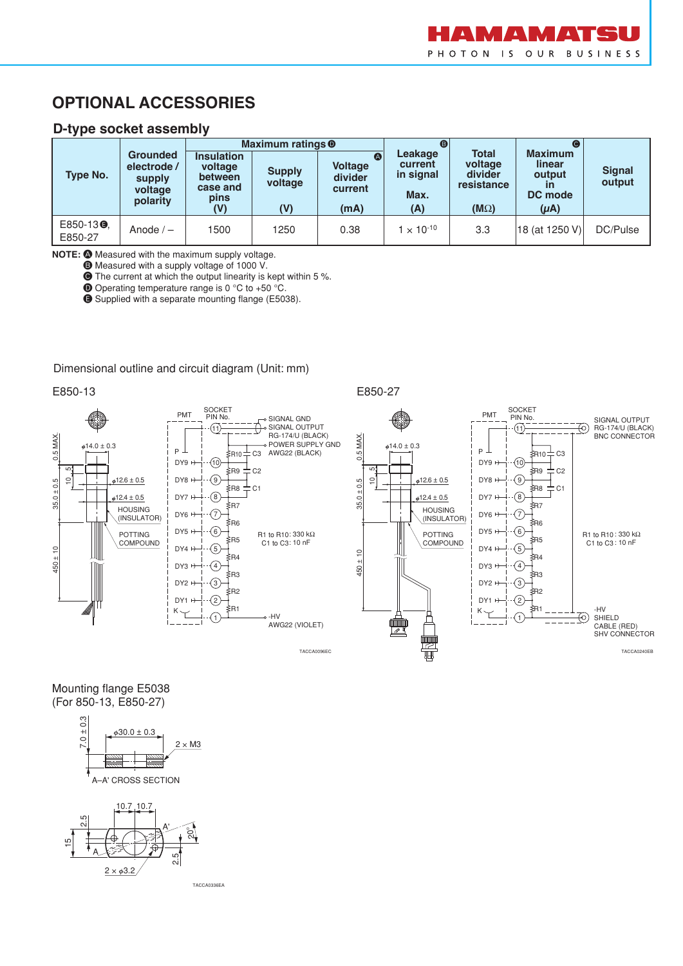## **OPTIONAL ACCESSORIES**

### **D-type socket assembly**

|                                 |                                                                 |                                                                    | Maximum ratings <sup>o</sup>    |                                                   | ®                                              |                                                                 |                                                                            |                         |  |
|---------------------------------|-----------------------------------------------------------------|--------------------------------------------------------------------|---------------------------------|---------------------------------------------------|------------------------------------------------|-----------------------------------------------------------------|----------------------------------------------------------------------------|-------------------------|--|
| Type No.                        | <b>Grounded</b><br>electrode /<br>supply<br>voltage<br>polarity | <b>Insulation</b><br>voltage<br>between<br>case and<br>pins<br>(V) | <b>Supply</b><br>voltage<br>(V) | A<br><b>Voltage</b><br>divider<br>current<br>(mA) | Leakage<br>current<br>in signal<br>Max.<br>(A) | <b>Total</b><br>voltage<br>divider<br>resistance<br>$(M\Omega)$ | <b>Maximum</b><br>linear<br>output<br>$\mathsf{I}$<br>DC mode<br>$(\mu A)$ | <b>Signal</b><br>output |  |
| E850-13 <sup>O</sup><br>E850-27 | Anode $/ -$                                                     | 1500                                                               | 1250                            | 0.38                                              | $1 \times 10^{-10}$                            | 3.3                                                             | 18 (at 1250 V)                                                             | DC/Pulse                |  |

**NOTE:**  $\bigcirc$  Measured with the maximum supply voltage.

 $\bullet$  Measured with a supply voltage of 1000 V.

C The current at which the output linearity is kept within 5 %.

 $\bullet$  Operating temperature range is 0 °C to +50 °C.

E Supplied with a separate mounting flange (E5038).

#### Dimensional outline and circuit diagram (Unit: mm)





#### Mounting flange E5038 (For 850-13, E850-27)